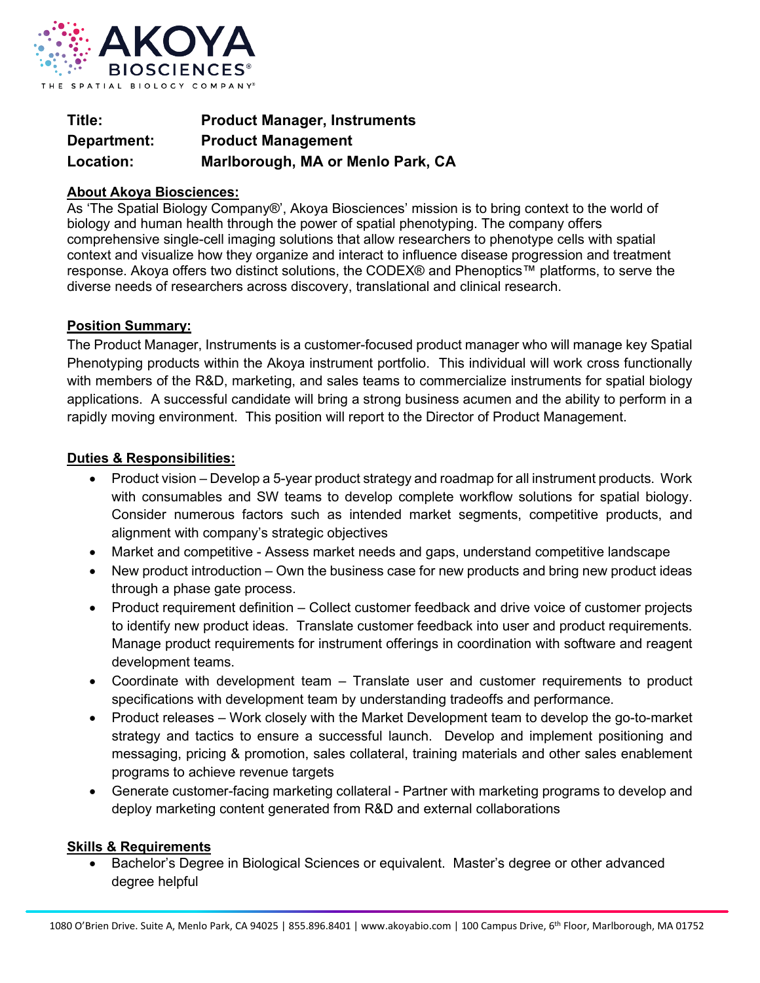

| Title:      | <b>Product Manager, Instruments</b> |
|-------------|-------------------------------------|
| Department: | <b>Product Management</b>           |
| Location:   | Marlborough, MA or Menlo Park, CA   |

## **About Akoya Biosciences:**

As 'The Spatial Biology Company®', Akoya Biosciences' mission is to bring context to the world of biology and human health through the power of spatial phenotyping. The company offers comprehensive single-cell imaging solutions that allow researchers to phenotype cells with spatial context and visualize how they organize and interact to influence disease progression and treatment response. Akoya offers two distinct solutions, the CODEX® and Phenoptics™ platforms, to serve the diverse needs of researchers across discovery, translational and clinical research.

## **Position Summary:**

The Product Manager, Instruments is a customer-focused product manager who will manage key Spatial Phenotyping products within the Akoya instrument portfolio. This individual will work cross functionally with members of the R&D, marketing, and sales teams to commercialize instruments for spatial biology applications. A successful candidate will bring a strong business acumen and the ability to perform in a rapidly moving environment. This position will report to the Director of Product Management.

## **Duties & Responsibilities:**

- Product vision Develop a 5-year product strategy and roadmap for all instrument products. Work with consumables and SW teams to develop complete workflow solutions for spatial biology. Consider numerous factors such as intended market segments, competitive products, and alignment with company's strategic objectives
- Market and competitive Assess market needs and gaps, understand competitive landscape
- New product introduction Own the business case for new products and bring new product ideas through a phase gate process.
- Product requirement definition Collect customer feedback and drive voice of customer projects to identify new product ideas. Translate customer feedback into user and product requirements. Manage product requirements for instrument offerings in coordination with software and reagent development teams.
- Coordinate with development team Translate user and customer requirements to product specifications with development team by understanding tradeoffs and performance.
- Product releases Work closely with the Market Development team to develop the go-to-market strategy and tactics to ensure a successful launch. Develop and implement positioning and messaging, pricing & promotion, sales collateral, training materials and other sales enablement programs to achieve revenue targets
- Generate customer-facing marketing collateral Partner with marketing programs to develop and deploy marketing content generated from R&D and external collaborations

## **Skills & Requirements**

• Bachelor's Degree in Biological Sciences or equivalent. Master's degree or other advanced degree helpful